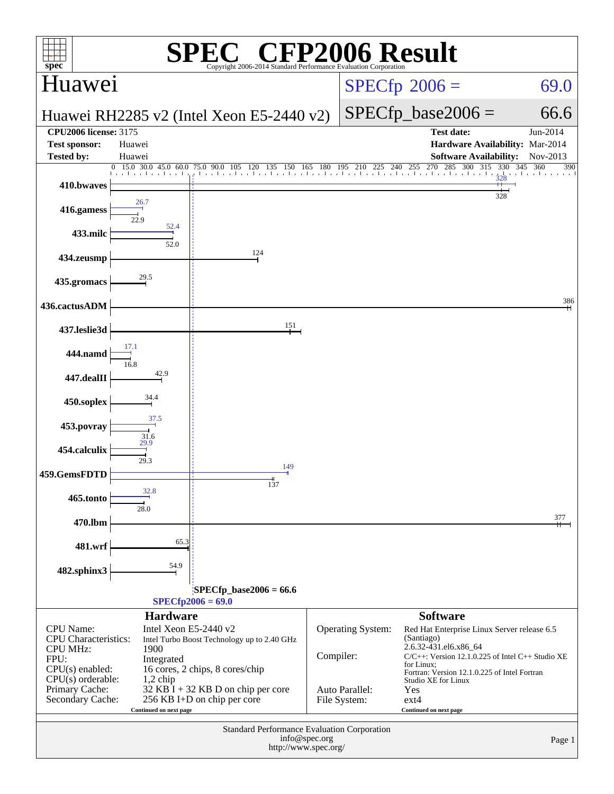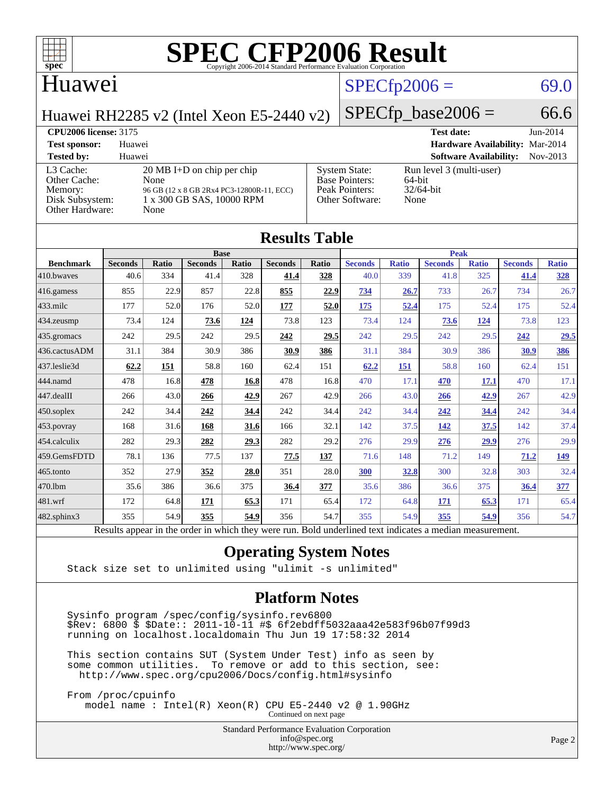

#### Huawei

### $SPECfp2006 = 69.0$  $SPECfp2006 = 69.0$

Huawei RH2285 v2 (Intel Xeon E5-2440 v2)

 $SPECfp\_base2006 = 66.6$ 

#### **[CPU2006 license:](http://www.spec.org/auto/cpu2006/Docs/result-fields.html#CPU2006license)** 3175 **[Test date:](http://www.spec.org/auto/cpu2006/Docs/result-fields.html#Testdate)** Jun-2014 **[Test sponsor:](http://www.spec.org/auto/cpu2006/Docs/result-fields.html#Testsponsor)** Huawei **[Hardware Availability:](http://www.spec.org/auto/cpu2006/Docs/result-fields.html#HardwareAvailability)** Mar-2014 **[Tested by:](http://www.spec.org/auto/cpu2006/Docs/result-fields.html#Testedby)** Huawei **[Software Availability:](http://www.spec.org/auto/cpu2006/Docs/result-fields.html#SoftwareAvailability)** Nov-2013 [L3 Cache:](http://www.spec.org/auto/cpu2006/Docs/result-fields.html#L3Cache) 20 MB I+D on chip per chip<br>Other Cache: None [Other Cache:](http://www.spec.org/auto/cpu2006/Docs/result-fields.html#OtherCache) [Memory:](http://www.spec.org/auto/cpu2006/Docs/result-fields.html#Memory) 96 GB (12 x 8 GB 2Rx4 PC3-12800R-11, ECC) [Disk Subsystem:](http://www.spec.org/auto/cpu2006/Docs/result-fields.html#DiskSubsystem) 1 x 300 GB SAS, 10000 RPM [Other Hardware:](http://www.spec.org/auto/cpu2006/Docs/result-fields.html#OtherHardware) None [System State:](http://www.spec.org/auto/cpu2006/Docs/result-fields.html#SystemState) Run level 3 (multi-user)<br>Base Pointers: 64-bit [Base Pointers:](http://www.spec.org/auto/cpu2006/Docs/result-fields.html#BasePointers) 64-bit<br>Peak Pointers: 32/64-bit [Peak Pointers:](http://www.spec.org/auto/cpu2006/Docs/result-fields.html#PeakPointers) [Other Software:](http://www.spec.org/auto/cpu2006/Docs/result-fields.html#OtherSoftware) None

| <b>Results Table</b> |                                                                                                          |              |                |       |                |       |                |              |                |              |                |              |
|----------------------|----------------------------------------------------------------------------------------------------------|--------------|----------------|-------|----------------|-------|----------------|--------------|----------------|--------------|----------------|--------------|
|                      |                                                                                                          | <b>Peak</b>  |                |       |                |       |                |              |                |              |                |              |
| <b>Benchmark</b>     | <b>Seconds</b>                                                                                           | <b>Ratio</b> | <b>Seconds</b> | Ratio | <b>Seconds</b> | Ratio | <b>Seconds</b> | <b>Ratio</b> | <b>Seconds</b> | <b>Ratio</b> | <b>Seconds</b> | <b>Ratio</b> |
| 410.bwayes           | 40.6                                                                                                     | 334          | 41.4           | 328   | 41.4           | 328   | 40.0           | 339          | 41.8           | 325          | 41.4           | <u>328</u>   |
| 416.gamess           | 855                                                                                                      | 22.9         | 857            | 22.8  | 855            | 22.9  | 734            | 26.7         | 733            | 26.7         | 734            | 26.7         |
| $433$ .milc          | 177                                                                                                      | 52.0         | 176            | 52.0  | 177            | 52.0  | <u>175</u>     | 52.4         | 175            | 52.4         | 175            | 52.4         |
| 434.zeusmp           | 73.4                                                                                                     | 124          | 73.6           | 124   | 73.8           | 123   | 73.4           | 124          | 73.6           | 124          | 73.8           | 123          |
| 435.gromacs          | 242                                                                                                      | 29.5         | 242            | 29.5  | 242            | 29.5  | 242            | 29.5         | 242            | 29.5         | 242            | 29.5         |
| 436.cactusADM        | 31.1                                                                                                     | 384          | 30.9           | 386   | 30.9           | 386   | 31.1           | 384          | 30.9           | 386          | 30.9           | 386          |
| 437.leslie3d         | 62.2                                                                                                     | 151          | 58.8           | 160   | 62.4           | 151   | 62.2           | 151          | 58.8           | 160          | 62.4           | 151          |
| 444.namd             | 478                                                                                                      | 16.8         | 478            | 16.8  | 478            | 16.8  | 470            | 17.1         | 470            | 17.1         | 470            | 17.1         |
| 447.dealII           | 266                                                                                                      | 43.0         | 266            | 42.9  | 267            | 42.9  | 266            | 43.0         | 266            | 42.9         | 267            | 42.9         |
| $450$ .soplex        | 242                                                                                                      | 34.4         | 242            | 34.4  | 242            | 34.4  | 242            | 34.4         | 242            | 34.4         | 242            | 34.4         |
| 453.povray           | 168                                                                                                      | 31.6         | 168            | 31.6  | 166            | 32.1  | 142            | 37.5         | 142            | 37.5         | 142            | 37.4         |
| 454.calculix         | 282                                                                                                      | 29.3         | 282            | 29.3  | 282            | 29.2  | 276            | 29.9         | 276            | 29.9         | 276            | 29.9         |
| 459.GemsFDTD         | 78.1                                                                                                     | 136          | 77.5           | 137   | 77.5           | 137   | 71.6           | 148          | 71.2           | 149          | 71.2           | <u> 149</u>  |
| 465.tonto            | 352                                                                                                      | 27.9         | 352            | 28.0  | 351            | 28.0  | 300            | 32.8         | 300            | 32.8         | 303            | 32.4         |
| 470.1bm              | 35.6                                                                                                     | 386          | 36.6           | 375   | 36.4           | 377   | 35.6           | 386          | 36.6           | 375          | 36.4           | 377          |
| 481.wrf              | 172                                                                                                      | 64.8         | 171            | 65.3  | 171            | 65.4  | 172            | 64.8         | 171            | 65.3         | 171            | 65.4         |
| $482$ .sphinx $3$    | 355                                                                                                      | 54.9         | 355            | 54.9  | 356            | 54.7  | 355            | 54.9         | 355            | 54.9         | 356            | 54.7         |
|                      | Results appear in the order in which they were run. Bold underlined text indicates a median measurement. |              |                |       |                |       |                |              |                |              |                |              |

#### **[Operating System Notes](http://www.spec.org/auto/cpu2006/Docs/result-fields.html#OperatingSystemNotes)**

Stack size set to unlimited using "ulimit -s unlimited"

#### **[Platform Notes](http://www.spec.org/auto/cpu2006/Docs/result-fields.html#PlatformNotes)**

 Sysinfo program /spec/config/sysinfo.rev6800 \$Rev: 6800 \$ \$Date:: 2011-10-11 #\$ 6f2ebdff5032aaa42e583f96b07f99d3 running on localhost.localdomain Thu Jun 19 17:58:32 2014

 This section contains SUT (System Under Test) info as seen by some common utilities. To remove or add to this section, see: <http://www.spec.org/cpu2006/Docs/config.html#sysinfo>

 From /proc/cpuinfo model name : Intel(R) Xeon(R) CPU E5-2440 v2 @ 1.90GHz

Continued on next page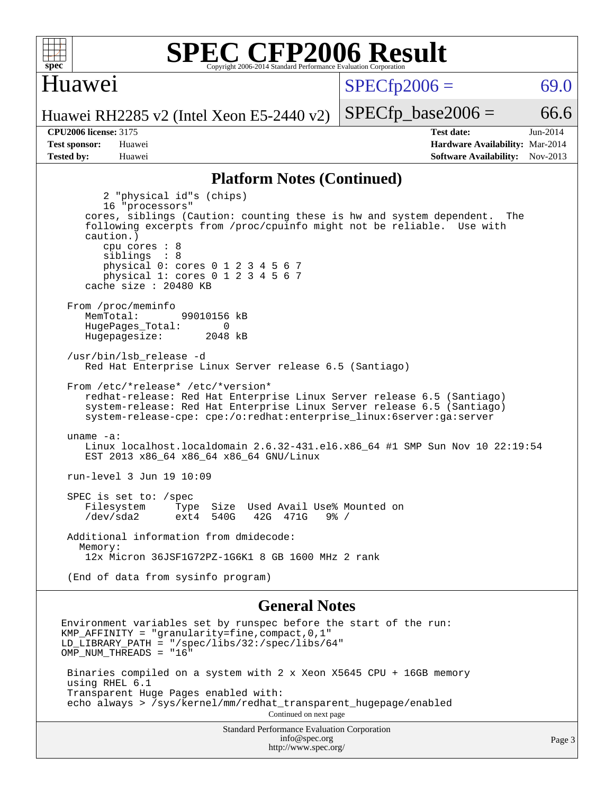

#### Huawei

 $SPECTp2006 = 69.0$ 

Huawei RH2285 v2 (Intel Xeon E5-2440 v2)

**[CPU2006 license:](http://www.spec.org/auto/cpu2006/Docs/result-fields.html#CPU2006license)** 3175 **[Test date:](http://www.spec.org/auto/cpu2006/Docs/result-fields.html#Testdate)** Jun-2014 **[Test sponsor:](http://www.spec.org/auto/cpu2006/Docs/result-fields.html#Testsponsor)** Huawei **[Hardware Availability:](http://www.spec.org/auto/cpu2006/Docs/result-fields.html#HardwareAvailability)** Mar-2014 **[Tested by:](http://www.spec.org/auto/cpu2006/Docs/result-fields.html#Testedby)** Huawei **[Software Availability:](http://www.spec.org/auto/cpu2006/Docs/result-fields.html#SoftwareAvailability)** Nov-2013

 $SPECTp\_base2006 = 66.6$ 

#### **[Platform Notes \(Continued\)](http://www.spec.org/auto/cpu2006/Docs/result-fields.html#PlatformNotes)**

 2 "physical id"s (chips) 16 "processors" cores, siblings (Caution: counting these is hw and system dependent. The following excerpts from /proc/cpuinfo might not be reliable. Use with caution.) cpu cores : 8 siblings : 8 physical 0: cores 0 1 2 3 4 5 6 7 physical 1: cores 0 1 2 3 4 5 6 7 cache size : 20480 KB From /proc/meminfo MemTotal: 99010156 kB HugePages\_Total: 0<br>Hugepagesize: 2048 kB Hugepagesize: /usr/bin/lsb\_release -d Red Hat Enterprise Linux Server release 6.5 (Santiago) From /etc/\*release\* /etc/\*version\* redhat-release: Red Hat Enterprise Linux Server release 6.5 (Santiago) system-release: Red Hat Enterprise Linux Server release 6.5 (Santiago) system-release-cpe: cpe:/o:redhat:enterprise\_linux:6server:ga:server uname -a: Linux localhost.localdomain 2.6.32-431.el6.x86\_64 #1 SMP Sun Nov 10 22:19:54 EST 2013 x86\_64 x86\_64 x86\_64 GNU/Linux run-level 3 Jun 19 10:09 SPEC is set to: /spec<br>Filesystem Type Type Size Used Avail Use% Mounted on<br>ext4 540G 42G 471G 9% / /dev/sda2 ext4 540G 42G 471G 9% / Additional information from dmidecode: Memory: 12x Micron 36JSF1G72PZ-1G6K1 8 GB 1600 MHz 2 rank (End of data from sysinfo program)

#### **[General Notes](http://www.spec.org/auto/cpu2006/Docs/result-fields.html#GeneralNotes)**

Environment variables set by runspec before the start of the run: KMP AFFINITY = "granularity=fine, compact,  $0,1$ " LD\_LIBRARY\_PATH = "/spec/libs/32:/spec/libs/64" OMP NUM THREADS = "16" Binaries compiled on a system with 2 x Xeon X5645 CPU + 16GB memory using RHEL 6.1 Transparent Huge Pages enabled with: echo always > /sys/kernel/mm/redhat\_transparent\_hugepage/enabled Continued on next page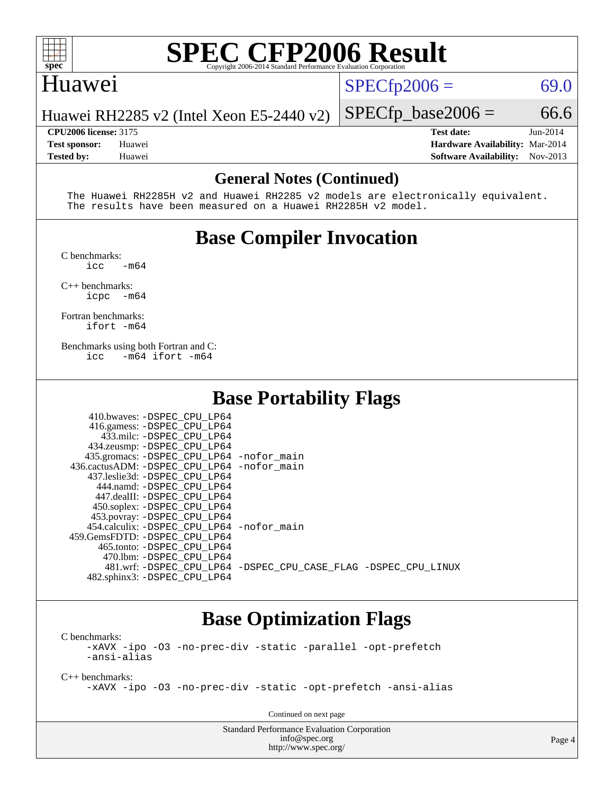

## Huawei

 $SPECfp2006 = 69.0$  $SPECfp2006 = 69.0$ 

Huawei RH2285 v2 (Intel Xeon E5-2440 v2)

**[CPU2006 license:](http://www.spec.org/auto/cpu2006/Docs/result-fields.html#CPU2006license)** 3175 **[Test date:](http://www.spec.org/auto/cpu2006/Docs/result-fields.html#Testdate)** Jun-2014 **[Test sponsor:](http://www.spec.org/auto/cpu2006/Docs/result-fields.html#Testsponsor)** Huawei **[Hardware Availability:](http://www.spec.org/auto/cpu2006/Docs/result-fields.html#HardwareAvailability)** Mar-2014 **[Tested by:](http://www.spec.org/auto/cpu2006/Docs/result-fields.html#Testedby)** Huawei **[Software Availability:](http://www.spec.org/auto/cpu2006/Docs/result-fields.html#SoftwareAvailability)** Nov-2013

 $SPECTp\_base2006 = 66.6$ 

#### **[General Notes \(Continued\)](http://www.spec.org/auto/cpu2006/Docs/result-fields.html#GeneralNotes)**

 The Huawei RH2285H v2 and Huawei RH2285 v2 models are electronically equivalent. The results have been measured on a Huawei RH2285H v2 model.

## **[Base Compiler Invocation](http://www.spec.org/auto/cpu2006/Docs/result-fields.html#BaseCompilerInvocation)**

[C benchmarks](http://www.spec.org/auto/cpu2006/Docs/result-fields.html#Cbenchmarks):

 $\frac{1}{2}$ cc  $-\text{m64}$ 

[C++ benchmarks:](http://www.spec.org/auto/cpu2006/Docs/result-fields.html#CXXbenchmarks) [icpc -m64](http://www.spec.org/cpu2006/results/res2014q3/cpu2006-20140719-30532.flags.html#user_CXXbase_intel_icpc_64bit_bedb90c1146cab66620883ef4f41a67e)

[Fortran benchmarks](http://www.spec.org/auto/cpu2006/Docs/result-fields.html#Fortranbenchmarks): [ifort -m64](http://www.spec.org/cpu2006/results/res2014q3/cpu2006-20140719-30532.flags.html#user_FCbase_intel_ifort_64bit_ee9d0fb25645d0210d97eb0527dcc06e)

[Benchmarks using both Fortran and C](http://www.spec.org/auto/cpu2006/Docs/result-fields.html#BenchmarksusingbothFortranandC): [icc -m64](http://www.spec.org/cpu2006/results/res2014q3/cpu2006-20140719-30532.flags.html#user_CC_FCbase_intel_icc_64bit_0b7121f5ab7cfabee23d88897260401c) [ifort -m64](http://www.spec.org/cpu2006/results/res2014q3/cpu2006-20140719-30532.flags.html#user_CC_FCbase_intel_ifort_64bit_ee9d0fb25645d0210d97eb0527dcc06e)

#### **[Base Portability Flags](http://www.spec.org/auto/cpu2006/Docs/result-fields.html#BasePortabilityFlags)**

| 410.bwaves: -DSPEC CPU LP64                 |                                                                |
|---------------------------------------------|----------------------------------------------------------------|
| 416.gamess: -DSPEC_CPU_LP64                 |                                                                |
| 433.milc: -DSPEC CPU LP64                   |                                                                |
| 434.zeusmp: -DSPEC_CPU_LP64                 |                                                                |
| 435.gromacs: -DSPEC_CPU_LP64 -nofor_main    |                                                                |
| 436.cactusADM: -DSPEC_CPU_LP64 -nofor main  |                                                                |
| 437.leslie3d: -DSPEC CPU LP64               |                                                                |
| 444.namd: -DSPEC CPU LP64                   |                                                                |
| 447.dealII: -DSPEC CPU LP64                 |                                                                |
| 450.soplex: -DSPEC CPU LP64                 |                                                                |
| 453.povray: -DSPEC_CPU_LP64                 |                                                                |
| 454.calculix: - DSPEC CPU LP64 - nofor main |                                                                |
| 459. GemsFDTD: - DSPEC CPU LP64             |                                                                |
| 465.tonto: - DSPEC CPU LP64                 |                                                                |
| 470.1bm: - DSPEC CPU LP64                   |                                                                |
|                                             | 481.wrf: -DSPEC CPU_LP64 -DSPEC_CPU_CASE_FLAG -DSPEC_CPU_LINUX |
| 482.sphinx3: -DSPEC_CPU_LP64                |                                                                |

## **[Base Optimization Flags](http://www.spec.org/auto/cpu2006/Docs/result-fields.html#BaseOptimizationFlags)**

[C benchmarks](http://www.spec.org/auto/cpu2006/Docs/result-fields.html#Cbenchmarks): [-xAVX](http://www.spec.org/cpu2006/results/res2014q3/cpu2006-20140719-30532.flags.html#user_CCbase_f-xAVX) [-ipo](http://www.spec.org/cpu2006/results/res2014q3/cpu2006-20140719-30532.flags.html#user_CCbase_f-ipo) [-O3](http://www.spec.org/cpu2006/results/res2014q3/cpu2006-20140719-30532.flags.html#user_CCbase_f-O3) [-no-prec-div](http://www.spec.org/cpu2006/results/res2014q3/cpu2006-20140719-30532.flags.html#user_CCbase_f-no-prec-div) [-static](http://www.spec.org/cpu2006/results/res2014q3/cpu2006-20140719-30532.flags.html#user_CCbase_f-static) [-parallel](http://www.spec.org/cpu2006/results/res2014q3/cpu2006-20140719-30532.flags.html#user_CCbase_f-parallel) [-opt-prefetch](http://www.spec.org/cpu2006/results/res2014q3/cpu2006-20140719-30532.flags.html#user_CCbase_f-opt-prefetch) [-ansi-alias](http://www.spec.org/cpu2006/results/res2014q3/cpu2006-20140719-30532.flags.html#user_CCbase_f-ansi-alias)

[C++ benchmarks:](http://www.spec.org/auto/cpu2006/Docs/result-fields.html#CXXbenchmarks) [-xAVX](http://www.spec.org/cpu2006/results/res2014q3/cpu2006-20140719-30532.flags.html#user_CXXbase_f-xAVX) [-ipo](http://www.spec.org/cpu2006/results/res2014q3/cpu2006-20140719-30532.flags.html#user_CXXbase_f-ipo) [-O3](http://www.spec.org/cpu2006/results/res2014q3/cpu2006-20140719-30532.flags.html#user_CXXbase_f-O3) [-no-prec-div](http://www.spec.org/cpu2006/results/res2014q3/cpu2006-20140719-30532.flags.html#user_CXXbase_f-no-prec-div) [-static](http://www.spec.org/cpu2006/results/res2014q3/cpu2006-20140719-30532.flags.html#user_CXXbase_f-static) [-opt-prefetch](http://www.spec.org/cpu2006/results/res2014q3/cpu2006-20140719-30532.flags.html#user_CXXbase_f-opt-prefetch) [-ansi-alias](http://www.spec.org/cpu2006/results/res2014q3/cpu2006-20140719-30532.flags.html#user_CXXbase_f-ansi-alias)

Continued on next page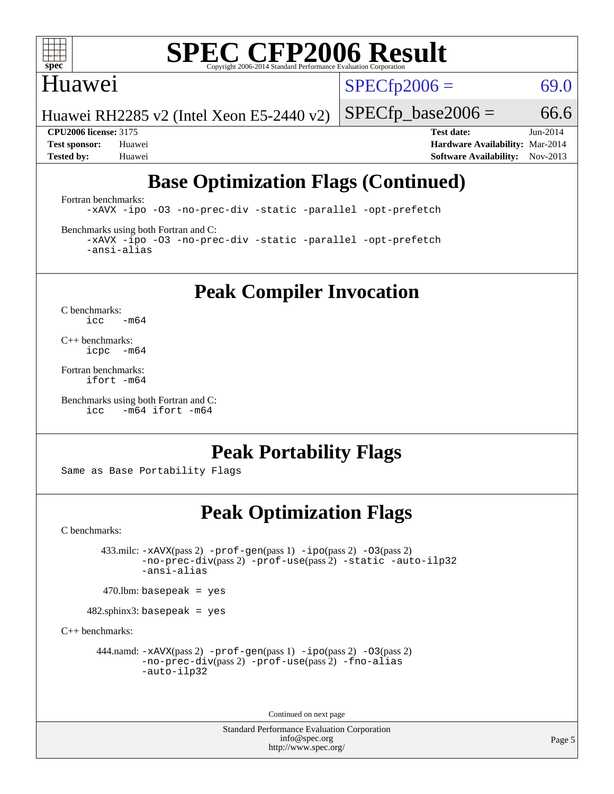

### Huawei

 $SPECTp2006 = 69.0$ 

Huawei RH2285 v2 (Intel Xeon E5-2440 v2)

 $SPECTp\_base2006 = 66.6$ **[CPU2006 license:](http://www.spec.org/auto/cpu2006/Docs/result-fields.html#CPU2006license)** 3175 **[Test date:](http://www.spec.org/auto/cpu2006/Docs/result-fields.html#Testdate)** Jun-2014

**[Test sponsor:](http://www.spec.org/auto/cpu2006/Docs/result-fields.html#Testsponsor)** Huawei **[Hardware Availability:](http://www.spec.org/auto/cpu2006/Docs/result-fields.html#HardwareAvailability)** Mar-2014 **[Tested by:](http://www.spec.org/auto/cpu2006/Docs/result-fields.html#Testedby)** Huawei **[Software Availability:](http://www.spec.org/auto/cpu2006/Docs/result-fields.html#SoftwareAvailability)** Nov-2013

## **[Base Optimization Flags \(Continued\)](http://www.spec.org/auto/cpu2006/Docs/result-fields.html#BaseOptimizationFlags)**

[Fortran benchmarks](http://www.spec.org/auto/cpu2006/Docs/result-fields.html#Fortranbenchmarks):

[-xAVX](http://www.spec.org/cpu2006/results/res2014q3/cpu2006-20140719-30532.flags.html#user_FCbase_f-xAVX) [-ipo](http://www.spec.org/cpu2006/results/res2014q3/cpu2006-20140719-30532.flags.html#user_FCbase_f-ipo) [-O3](http://www.spec.org/cpu2006/results/res2014q3/cpu2006-20140719-30532.flags.html#user_FCbase_f-O3) [-no-prec-div](http://www.spec.org/cpu2006/results/res2014q3/cpu2006-20140719-30532.flags.html#user_FCbase_f-no-prec-div) [-static](http://www.spec.org/cpu2006/results/res2014q3/cpu2006-20140719-30532.flags.html#user_FCbase_f-static) [-parallel](http://www.spec.org/cpu2006/results/res2014q3/cpu2006-20140719-30532.flags.html#user_FCbase_f-parallel) [-opt-prefetch](http://www.spec.org/cpu2006/results/res2014q3/cpu2006-20140719-30532.flags.html#user_FCbase_f-opt-prefetch)

[Benchmarks using both Fortran and C](http://www.spec.org/auto/cpu2006/Docs/result-fields.html#BenchmarksusingbothFortranandC):

[-xAVX](http://www.spec.org/cpu2006/results/res2014q3/cpu2006-20140719-30532.flags.html#user_CC_FCbase_f-xAVX) [-ipo](http://www.spec.org/cpu2006/results/res2014q3/cpu2006-20140719-30532.flags.html#user_CC_FCbase_f-ipo) [-O3](http://www.spec.org/cpu2006/results/res2014q3/cpu2006-20140719-30532.flags.html#user_CC_FCbase_f-O3) [-no-prec-div](http://www.spec.org/cpu2006/results/res2014q3/cpu2006-20140719-30532.flags.html#user_CC_FCbase_f-no-prec-div) [-static](http://www.spec.org/cpu2006/results/res2014q3/cpu2006-20140719-30532.flags.html#user_CC_FCbase_f-static) [-parallel](http://www.spec.org/cpu2006/results/res2014q3/cpu2006-20140719-30532.flags.html#user_CC_FCbase_f-parallel) [-opt-prefetch](http://www.spec.org/cpu2006/results/res2014q3/cpu2006-20140719-30532.flags.html#user_CC_FCbase_f-opt-prefetch) [-ansi-alias](http://www.spec.org/cpu2006/results/res2014q3/cpu2006-20140719-30532.flags.html#user_CC_FCbase_f-ansi-alias)

## **[Peak Compiler Invocation](http://www.spec.org/auto/cpu2006/Docs/result-fields.html#PeakCompilerInvocation)**

[C benchmarks](http://www.spec.org/auto/cpu2006/Docs/result-fields.html#Cbenchmarks):  $\text{icc}$  -m64

[C++ benchmarks:](http://www.spec.org/auto/cpu2006/Docs/result-fields.html#CXXbenchmarks) [icpc -m64](http://www.spec.org/cpu2006/results/res2014q3/cpu2006-20140719-30532.flags.html#user_CXXpeak_intel_icpc_64bit_bedb90c1146cab66620883ef4f41a67e)

[Fortran benchmarks](http://www.spec.org/auto/cpu2006/Docs/result-fields.html#Fortranbenchmarks): [ifort -m64](http://www.spec.org/cpu2006/results/res2014q3/cpu2006-20140719-30532.flags.html#user_FCpeak_intel_ifort_64bit_ee9d0fb25645d0210d97eb0527dcc06e)

```
Benchmarks using both Fortran and C: 
     icc -m64 ifort -m64
```
## **[Peak Portability Flags](http://www.spec.org/auto/cpu2006/Docs/result-fields.html#PeakPortabilityFlags)**

Same as Base Portability Flags

## **[Peak Optimization Flags](http://www.spec.org/auto/cpu2006/Docs/result-fields.html#PeakOptimizationFlags)**

[C benchmarks](http://www.spec.org/auto/cpu2006/Docs/result-fields.html#Cbenchmarks):

 433.milc: [-xAVX](http://www.spec.org/cpu2006/results/res2014q3/cpu2006-20140719-30532.flags.html#user_peakPASS2_CFLAGSPASS2_LDFLAGS433_milc_f-xAVX)(pass 2) [-prof-gen](http://www.spec.org/cpu2006/results/res2014q3/cpu2006-20140719-30532.flags.html#user_peakPASS1_CFLAGSPASS1_LDFLAGS433_milc_prof_gen_e43856698f6ca7b7e442dfd80e94a8fc)(pass 1) [-ipo](http://www.spec.org/cpu2006/results/res2014q3/cpu2006-20140719-30532.flags.html#user_peakPASS2_CFLAGSPASS2_LDFLAGS433_milc_f-ipo)(pass 2) [-O3](http://www.spec.org/cpu2006/results/res2014q3/cpu2006-20140719-30532.flags.html#user_peakPASS2_CFLAGSPASS2_LDFLAGS433_milc_f-O3)(pass 2) [-no-prec-div](http://www.spec.org/cpu2006/results/res2014q3/cpu2006-20140719-30532.flags.html#user_peakPASS2_CFLAGSPASS2_LDFLAGS433_milc_f-no-prec-div)(pass 2) [-prof-use](http://www.spec.org/cpu2006/results/res2014q3/cpu2006-20140719-30532.flags.html#user_peakPASS2_CFLAGSPASS2_LDFLAGS433_milc_prof_use_bccf7792157ff70d64e32fe3e1250b55)(pass 2) [-static](http://www.spec.org/cpu2006/results/res2014q3/cpu2006-20140719-30532.flags.html#user_peakOPTIMIZE433_milc_f-static) [-auto-ilp32](http://www.spec.org/cpu2006/results/res2014q3/cpu2006-20140719-30532.flags.html#user_peakCOPTIMIZE433_milc_f-auto-ilp32) [-ansi-alias](http://www.spec.org/cpu2006/results/res2014q3/cpu2006-20140719-30532.flags.html#user_peakCOPTIMIZE433_milc_f-ansi-alias)

 $470$ .lbm: basepeak = yes

482.sphinx3: basepeak = yes

[C++ benchmarks:](http://www.spec.org/auto/cpu2006/Docs/result-fields.html#CXXbenchmarks)

444.namd:  $-x$ AVX(pass 2)  $-p$ rof-gen(pass 1)  $-p$ po(pass 2)  $-03$ (pass 2) [-no-prec-div](http://www.spec.org/cpu2006/results/res2014q3/cpu2006-20140719-30532.flags.html#user_peakPASS2_CXXFLAGSPASS2_LDFLAGS444_namd_f-no-prec-div)(pass 2) [-prof-use](http://www.spec.org/cpu2006/results/res2014q3/cpu2006-20140719-30532.flags.html#user_peakPASS2_CXXFLAGSPASS2_LDFLAGS444_namd_prof_use_bccf7792157ff70d64e32fe3e1250b55)(pass 2) [-fno-alias](http://www.spec.org/cpu2006/results/res2014q3/cpu2006-20140719-30532.flags.html#user_peakCXXOPTIMIZEOPTIMIZE444_namd_f-no-alias_694e77f6c5a51e658e82ccff53a9e63a) [-auto-ilp32](http://www.spec.org/cpu2006/results/res2014q3/cpu2006-20140719-30532.flags.html#user_peakCXXOPTIMIZE444_namd_f-auto-ilp32)

Continued on next page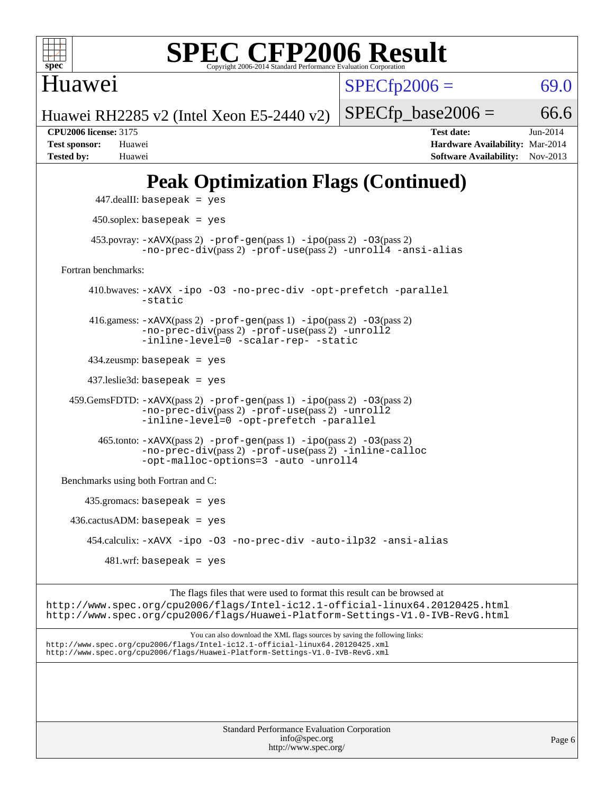

Huawei

 $SPECfp2006 = 69.0$  $SPECfp2006 = 69.0$ 

Huawei RH2285 v2 (Intel Xeon E5-2440 v2)

 $SPECTp\_base2006 = 66.6$ **[CPU2006 license:](http://www.spec.org/auto/cpu2006/Docs/result-fields.html#CPU2006license)** 3175 **[Test date:](http://www.spec.org/auto/cpu2006/Docs/result-fields.html#Testdate)** Jun-2014 **[Test sponsor:](http://www.spec.org/auto/cpu2006/Docs/result-fields.html#Testsponsor)** Huawei **[Hardware Availability:](http://www.spec.org/auto/cpu2006/Docs/result-fields.html#HardwareAvailability)** Mar-2014 **[Tested by:](http://www.spec.org/auto/cpu2006/Docs/result-fields.html#Testedby)** Huawei **[Software Availability:](http://www.spec.org/auto/cpu2006/Docs/result-fields.html#SoftwareAvailability)** Nov-2013

## **[Peak Optimization Flags \(Continued\)](http://www.spec.org/auto/cpu2006/Docs/result-fields.html#PeakOptimizationFlags)**

```
 447.dealII: basepeak = yes
          450.soplex: basepeak = yes
        453.povray: -xAVX(pass 2) -prof-gen(pass 1) -ipo(pass 2) -03(pass 2)
                  -no-prec-div(pass 2) -prof-use(pass 2) -unroll4 -ansi-alias
   Fortran benchmarks: 
         410.bwaves: -xAVX -ipo -O3 -no-prec-div -opt-prefetch -parallel
                  -static
         416.gamess: -xAVX(pass 2) -prof-gen(pass 1) -ipo(pass 2) -O3(pass 2)
                  -no-prec-div(pass 2) -prof-use(pass 2) -unroll2
                  -inline-level=0 -scalar-rep- -static
         434.zeusmp: basepeak = yes
         437.leslie3d: basepeak = yes
     459.GemsFDTD: -xAVX(pass 2) -prof-gen(pass 1) -ipo(pass 2) -O3(pass 2)
                  -no-prec-div(pass 2) -prof-use(pass 2) -unroll2
                  -inline-level=0 -opt-prefetch -parallel
           465.tonto: -xAVX(pass 2) -prof-gen(pass 1) -ipo(pass 2) -O3(pass 2)
                  -no-prec-div(pass 2) -prof-use(pass 2) -inline-calloc
                  -opt-malloc-options=3-auto-unroll4
   Benchmarks using both Fortran and C: 
        435.gromacs: basepeak = yes
    436.cactusADM:basepeak = yes 454.calculix: -xAVX -ipo -O3 -no-prec-div -auto-ilp32 -ansi-alias
           481 \text{.m}: basepeak = yes
                        The flags files that were used to format this result can be browsed at
http://www.spec.org/cpu2006/flags/Intel-ic12.1-official-linux64.20120425.html
http://www.spec.org/cpu2006/flags/Huawei-Platform-Settings-V1.0-IVB-RevG.html
```
You can also download the XML flags sources by saving the following links: <http://www.spec.org/cpu2006/flags/Intel-ic12.1-official-linux64.20120425.xml> <http://www.spec.org/cpu2006/flags/Huawei-Platform-Settings-V1.0-IVB-RevG.xml>